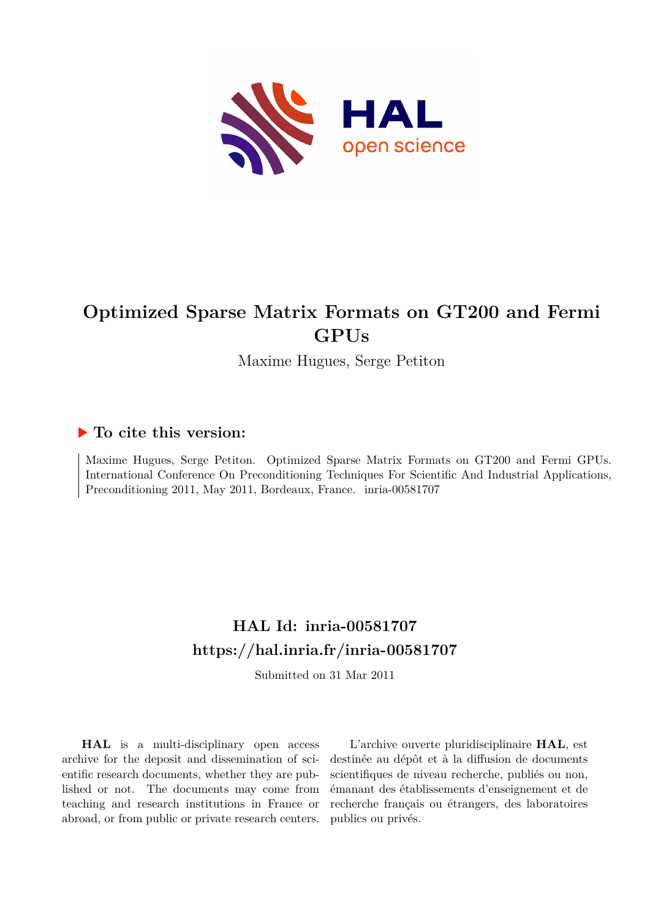

# **Optimized Sparse Matrix Formats on GT200 and Fermi GPUs**

Maxime Hugues, Serge Petiton

### **To cite this version:**

Maxime Hugues, Serge Petiton. Optimized Sparse Matrix Formats on GT200 and Fermi GPUs. International Conference On Preconditioning Techniques For Scientific And Industrial Applications, Preconditioning 2011, May 2011, Bordeaux, France. inria-00581707

## **HAL Id: inria-00581707 <https://hal.inria.fr/inria-00581707>**

Submitted on 31 Mar 2011

**HAL** is a multi-disciplinary open access archive for the deposit and dissemination of scientific research documents, whether they are published or not. The documents may come from teaching and research institutions in France or abroad, or from public or private research centers.

L'archive ouverte pluridisciplinaire **HAL**, est destinée au dépôt et à la diffusion de documents scientifiques de niveau recherche, publiés ou non, émanant des établissements d'enseignement et de recherche français ou étrangers, des laboratoires publics ou privés.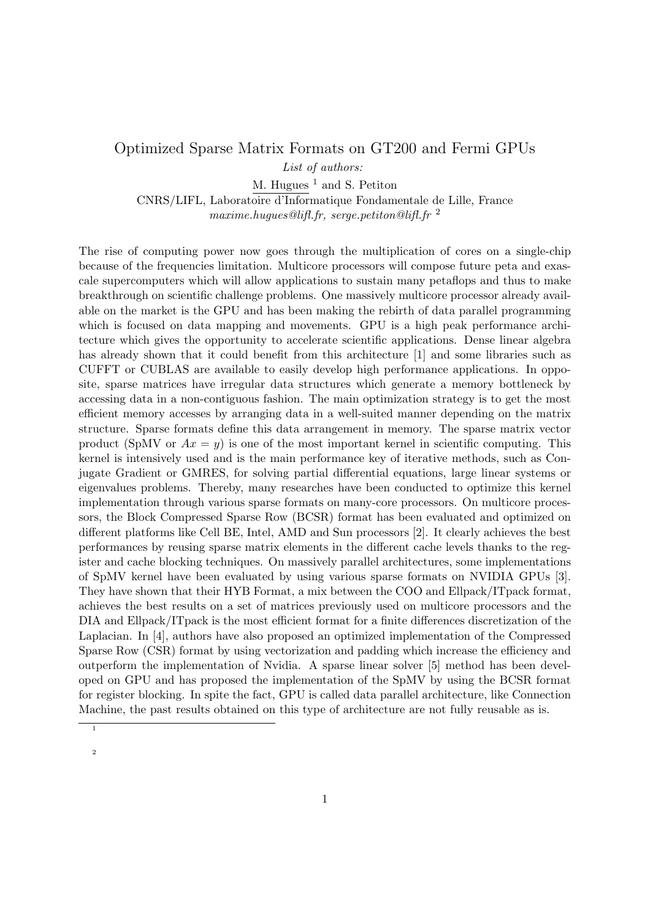#### Optimized Sparse Matrix Formats on GT200 and Fermi GPUs

*List of authors:*

M. Hugues  $<sup>1</sup>$  and S. Petiton</sup>

CNRS/LIFL, Laboratoire d'Informatique Fondamentale de Lille, France *maxime.hugues@lifl.fr, serge.petiton@lifl.fr* <sup>2</sup>

The rise of computing power now goes through the multiplication of cores on a single-chip because of the frequencies limitation. Multicore processors will compose future peta and exascale supercomputers which will allow applications to sustain many petaflops and thus to make breakthrough on scientific challenge problems. One massively multicore processor already available on the market is the GPU and has been making the rebirth of data parallel programming which is focused on data mapping and movements. GPU is a high peak performance architecture which gives the opportunity to accelerate scientific applications. Dense linear algebra has already shown that it could benefit from this architecture [1] and some libraries such as CUFFT or CUBLAS are available to easily develop high performance applications. In opposite, sparse matrices have irregular data structures which generate a memory bottleneck by accessing data in a non-contiguous fashion. The main optimization strategy is to get the most efficient memory accesses by arranging data in a well-suited manner depending on the matrix structure. Sparse formats define this data arrangement in memory. The sparse matrix vector product (SpMV or  $Ax = y$ ) is one of the most important kernel in scientific computing. This kernel is intensively used and is the main performance key of iterative methods, such as Conjugate Gradient or GMRES, for solving partial differential equations, large linear systems or eigenvalues problems. Thereby, many researches have been conducted to optimize this kernel implementation through various sparse formats on many-core processors. On multicore processors, the Block Compressed Sparse Row (BCSR) format has been evaluated and optimized on different platforms like Cell BE, Intel, AMD and Sun processors [2]. It clearly achieves the best performances by reusing sparse matrix elements in the different cache levels thanks to the register and cache blocking techniques. On massively parallel architectures, some implementations of SpMV kernel have been evaluated by using various sparse formats on NVIDIA GPUs [3]. They have shown that their HYB Format, a mix between the COO and Ellpack/ITpack format, achieves the best results on a set of matrices previously used on multicore processors and the DIA and Ellpack/ITpack is the most efficient format for a finite differences discretization of the Laplacian. In [4], authors have also proposed an optimized implementation of the Compressed Sparse Row (CSR) format by using vectorization and padding which increase the efficiency and outperform the implementation of Nvidia. A sparse linear solver [5] method has been developed on GPU and has proposed the implementation of the SpMV by using the BCSR format for register blocking. In spite the fact, GPU is called data parallel architecture, like Connection Machine, the past results obtained on this type of architecture are not fully reusable as is.

<sup>1</sup> 2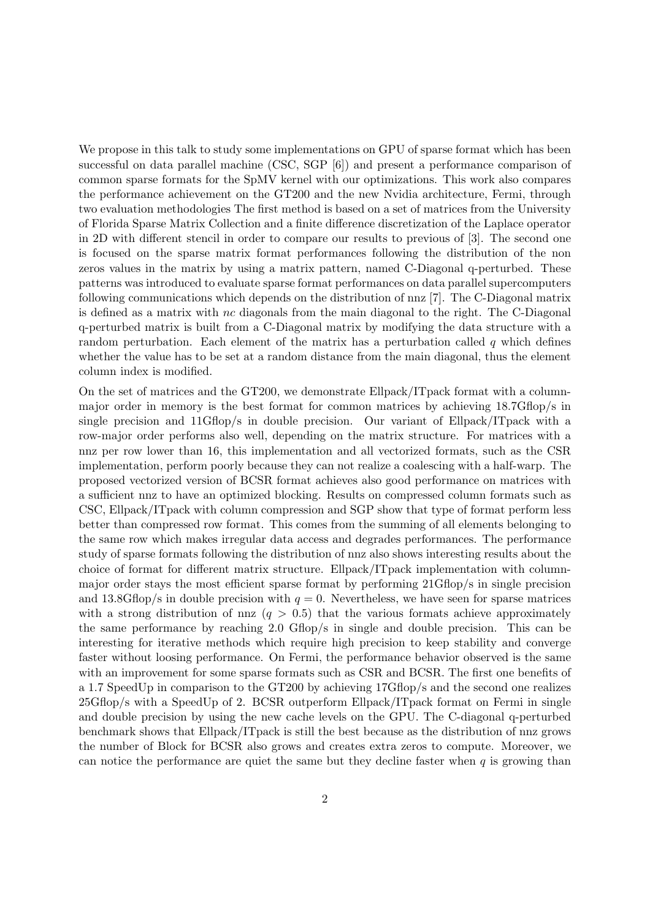We propose in this talk to study some implementations on GPU of sparse format which has been successful on data parallel machine (CSC, SGP [6]) and present a performance comparison of common sparse formats for the SpMV kernel with our optimizations. This work also compares the performance achievement on the GT200 and the new Nvidia architecture, Fermi, through two evaluation methodologies The first method is based on a set of matrices from the University of Florida Sparse Matrix Collection and a finite difference discretization of the Laplace operator in 2D with different stencil in order to compare our results to previous of [3]. The second one is focused on the sparse matrix format performances following the distribution of the non zeros values in the matrix by using a matrix pattern, named C-Diagonal q-perturbed. These patterns was introduced to evaluate sparse format performances on data parallel supercomputers following communications which depends on the distribution of nnz [7]. The C-Diagonal matrix is defined as a matrix with nc diagonals from the main diagonal to the right. The C-Diagonal q-perturbed matrix is built from a C-Diagonal matrix by modifying the data structure with a random perturbation. Each element of the matrix has a perturbation called  $q$  which defines whether the value has to be set at a random distance from the main diagonal, thus the element column index is modified.

On the set of matrices and the GT200, we demonstrate Ellpack/ITpack format with a columnmajor order in memory is the best format for common matrices by achieving 18.7Gflop/s in single precision and  $11Gflop/s$  in double precision. Our variant of Ellpack/ITpack with a row-major order performs also well, depending on the matrix structure. For matrices with a nnz per row lower than 16, this implementation and all vectorized formats, such as the CSR implementation, perform poorly because they can not realize a coalescing with a half-warp. The proposed vectorized version of BCSR format achieves also good performance on matrices with a sufficient nnz to have an optimized blocking. Results on compressed column formats such as CSC, Ellpack/ITpack with column compression and SGP show that type of format perform less better than compressed row format. This comes from the summing of all elements belonging to the same row which makes irregular data access and degrades performances. The performance study of sparse formats following the distribution of nnz also shows interesting results about the choice of format for different matrix structure. Ellpack/ITpack implementation with columnmajor order stays the most efficient sparse format by performing 21Gflop/s in single precision and 13.8Gflop/s in double precision with  $q = 0$ . Nevertheless, we have seen for sparse matrices with a strong distribution of nnz  $(q > 0.5)$  that the various formats achieve approximately the same performance by reaching 2.0 Gflop/s in single and double precision. This can be interesting for iterative methods which require high precision to keep stability and converge faster without loosing performance. On Fermi, the performance behavior observed is the same with an improvement for some sparse formats such as CSR and BCSR. The first one benefits of a 1.7 SpeedUp in comparison to the GT200 by achieving 17Gflop/s and the second one realizes 25Gflop/s with a SpeedUp of 2. BCSR outperform Ellpack/ITpack format on Fermi in single and double precision by using the new cache levels on the GPU. The C-diagonal q-perturbed benchmark shows that Ellpack/ITpack is still the best because as the distribution of nnz grows the number of Block for BCSR also grows and creates extra zeros to compute. Moreover, we can notice the performance are quiet the same but they decline faster when  $q$  is growing than